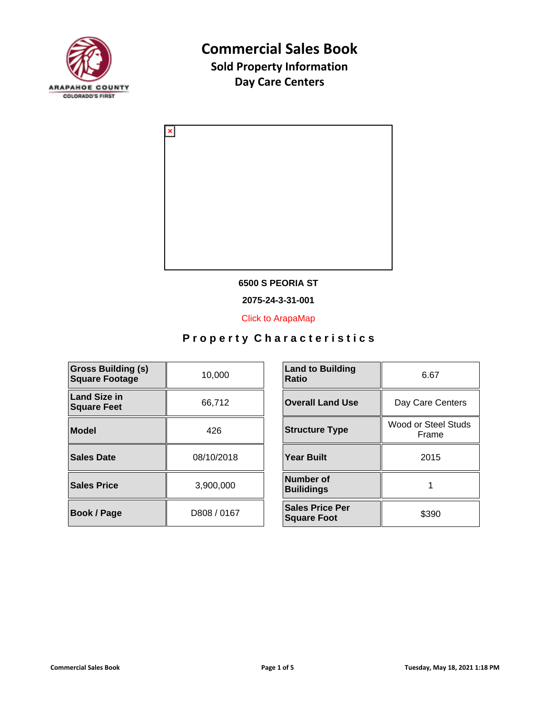



#### **6500 S PEORIA ST**

**2075-24-3-31-001**

[Click to ArapaMap](https://gis.arapahoegov.com/arapamaplite/?PARCEL=2075-24-3-31-001)

| <b>Gross Building (s)</b><br><b>Square Footage</b> | 10,000      | <b>Land to Building</b><br><b>Ratio</b>      |
|----------------------------------------------------|-------------|----------------------------------------------|
| <b>Land Size in</b><br><b>Square Feet</b>          | 66,712      | <b>Overall Land Use</b>                      |
| <b>Model</b>                                       | 426         | <b>Structure Type</b>                        |
| <b>Sales Date</b>                                  | 08/10/2018  | <b>Year Built</b>                            |
| <b>Sales Price</b>                                 | 3,900,000   | Number of<br><b>Builidings</b>               |
| <b>Book / Page</b>                                 | D808 / 0167 | <b>Sales Price Per</b><br><b>Square Foot</b> |

| <b>Land to Building</b><br><b>Ratio</b>      | 6.67                         |
|----------------------------------------------|------------------------------|
| <b>Overall Land Use</b>                      | Day Care Centers             |
| <b>Structure Type</b>                        | Wood or Steel Studs<br>Frame |
| <b>Year Built</b>                            | 2015                         |
| <b>Number of</b><br><b>Builidings</b>        |                              |
| <b>Sales Price Per</b><br><b>Square Foot</b> | \$390                        |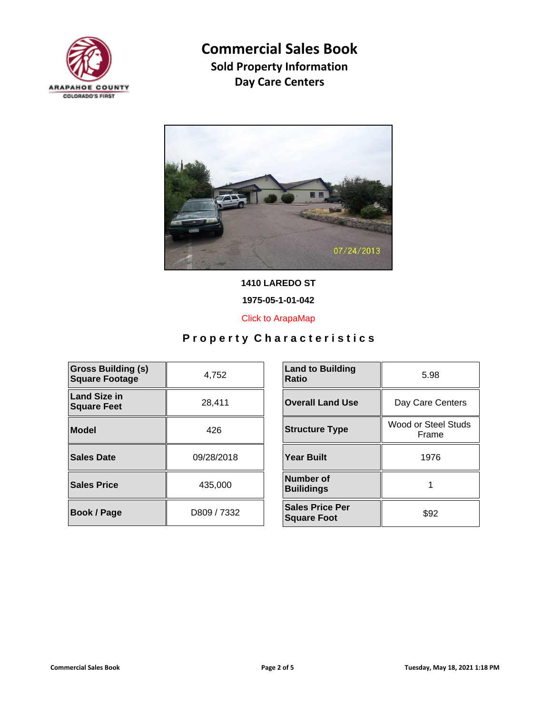



**1410 LAREDO ST**

**1975-05-1-01-042**

[Click to ArapaMap](https://gis.arapahoegov.com/arapamaplite/?PARCEL=1975-05-1-01-042)

| <b>Gross Building (s)</b><br><b>Square Footage</b> | 4,752       | <b>Land to Building</b><br><b>Ratio</b>      |
|----------------------------------------------------|-------------|----------------------------------------------|
| <b>Land Size in</b><br><b>Square Feet</b>          | 28,411      | <b>Overall Land Use</b>                      |
| Model                                              | 426         | <b>Structure Type</b>                        |
| Sales Date                                         | 09/28/2018  | <b>Year Built</b>                            |
| <b>Sales Price</b>                                 | 435,000     | Number of<br><b>Builidings</b>               |
| <b>Book / Page</b>                                 | D809 / 7332 | <b>Sales Price Per</b><br><b>Square Foot</b> |

| <b>Land to Building</b><br>Ratio             | 5.98                         |
|----------------------------------------------|------------------------------|
| <b>Overall Land Use</b>                      | Day Care Centers             |
| <b>Structure Type</b>                        | Wood or Steel Studs<br>Frame |
| <b>Year Built</b>                            | 1976                         |
| Number of<br><b>Builidings</b>               |                              |
| <b>Sales Price Per</b><br><b>Square Foot</b> | \$92                         |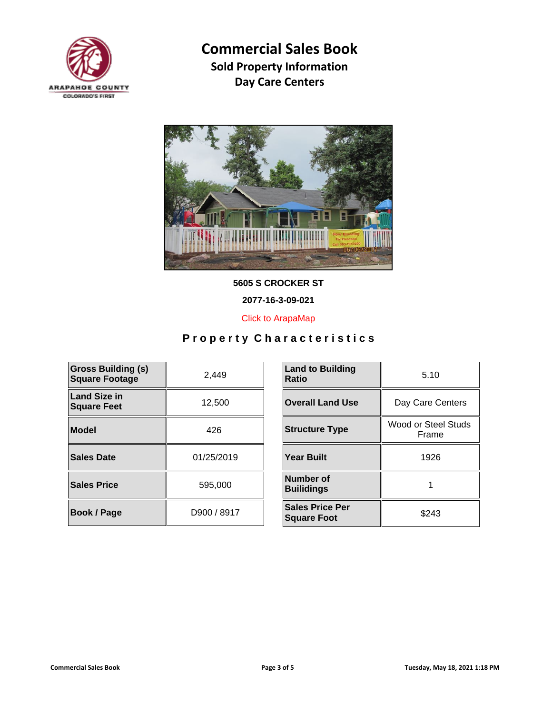



**5605 S CROCKER ST**

**2077-16-3-09-021**

[Click to ArapaMap](https://gis.arapahoegov.com/arapamaplite/?PARCEL=2077-16-3-09-021)

| <b>Gross Building (s)</b><br><b>Square Footage</b> | 2,449       | <b>Land to Building</b><br><b>Ratio</b>      |
|----------------------------------------------------|-------------|----------------------------------------------|
| <b>Land Size in</b><br><b>Square Feet</b>          | 12,500      | <b>Overall Land Use</b>                      |
| <b>Model</b>                                       | 426         | <b>Structure Type</b>                        |
| <b>Sales Date</b>                                  | 01/25/2019  | <b>Year Built</b>                            |
| <b>Sales Price</b>                                 | 595,000     | <b>Number of</b><br><b>Builidings</b>        |
| Book / Page                                        | D900 / 8917 | <b>Sales Price Per</b><br><b>Square Foot</b> |

| <b>Land to Building</b><br>Ratio             | 5.10                         |
|----------------------------------------------|------------------------------|
| <b>Overall Land Use</b>                      | Day Care Centers             |
| <b>Structure Type</b>                        | Wood or Steel Studs<br>Frame |
| <b>Year Built</b>                            | 1926                         |
| Number of<br><b>Builidings</b>               |                              |
| <b>Sales Price Per</b><br><b>Square Foot</b> | \$243                        |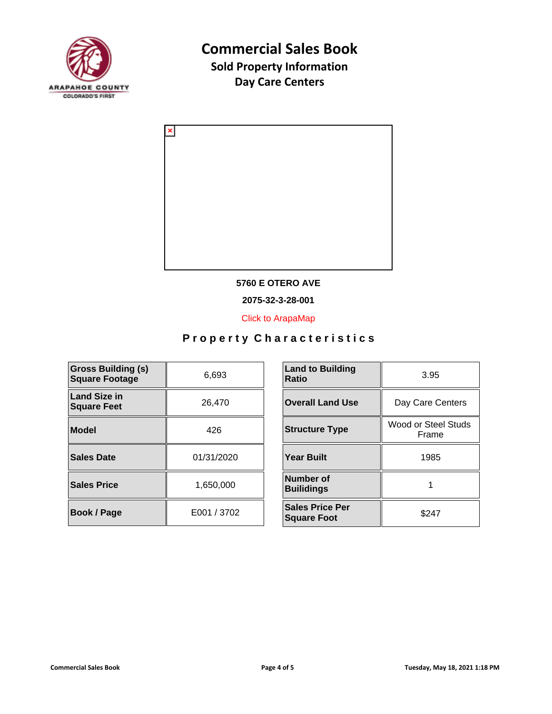



#### **5760 E OTERO AVE**

**2075-32-3-28-001**

[Click to ArapaMap](https://gis.arapahoegov.com/arapamaplite/?PARCEL=2075-32-3-28-001)

| <b>Gross Building (s)</b><br><b>Square Footage</b> | 6,693       | <b>Land to Building</b><br><b>Ratio</b>      |
|----------------------------------------------------|-------------|----------------------------------------------|
| <b>Land Size in</b><br><b>Square Feet</b>          | 26,470      | <b>Overall Land Use</b>                      |
| <b>Model</b>                                       | 426         | <b>Structure Type</b>                        |
| <b>Sales Date</b>                                  | 01/31/2020  | <b>Year Built</b>                            |
| <b>Sales Price</b>                                 | 1,650,000   | <b>Number of</b><br><b>Builidings</b>        |
| Book / Page                                        | E001 / 3702 | <b>Sales Price Per</b><br><b>Square Foot</b> |

| <b>Land to Building</b><br><b>Ratio</b>      | 3.95                         |  |
|----------------------------------------------|------------------------------|--|
| <b>Overall Land Use</b>                      | Day Care Centers             |  |
| <b>Structure Type</b>                        | Wood or Steel Studs<br>Frame |  |
| <b>Year Built</b>                            | 1985                         |  |
| Number of<br><b>Builidings</b>               |                              |  |
| <b>Sales Price Per</b><br><b>Square Foot</b> | \$247                        |  |